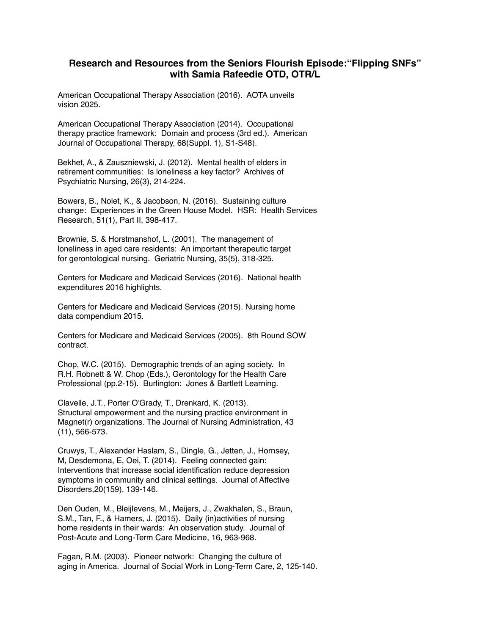## **Research and Resources from the Seniors Flourish Episode:"Flipping SNFs" with Samia Rafeedie OTD, OTR/L**

American Occupational Therapy Association (2016). AOTA unveils vision 2025.

American Occupational Therapy Association (2014). Occupational therapy practice framework: Domain and process (3rd ed.). American Journal of Occupational Therapy, 68(Suppl. 1), S1-S48).

Bekhet, A., & Zauszniewski, J. (2012). Mental health of elders in retirement communities: Is loneliness a key factor? Archives of Psychiatric Nursing, 26(3), 214-224.

Bowers, B., Nolet, K., & Jacobson, N. (2016). Sustaining culture change: Experiences in the Green House Model. HSR: Health Services Research, 51(1), Part II, 398-417.

Brownie, S. & Horstmanshof, L. (2001). The management of loneliness in aged care residents: An important therapeutic target for gerontological nursing. Geriatric Nursing, 35(5), 318-325.

Centers for Medicare and Medicaid Services (2016). National health expenditures 2016 highlights.

Centers for Medicare and Medicaid Services (2015). Nursing home data compendium 2015.

Centers for Medicare and Medicaid Services (2005). 8th Round SOW contract.

Chop, W.C. (2015). Demographic trends of an aging society. In R.H. Robnett & W. Chop (Eds.), Gerontology for the Health Care Professional (pp.2-15). Burlington: Jones & Bartlett Learning.

Clavelle, J.T., Porter O'Grady, T., Drenkard, K. (2013). Structural empowerment and the nursing practice environment in Magnet(r) organizations. The Journal of Nursing Administration, 43 (11), 566-573.

Cruwys, T., Alexander Haslam, S., Dingle, G., Jetten, J., Hornsey, M, Desdemona, E, Oei, T. (2014). Feeling connected gain: Interventions that increase social identification reduce depression symptoms in community and clinical settings. Journal of Affective Disorders,20(159), 139-146.

Den Ouden, M., Bleijlevens, M., Meijers, J., Zwakhalen, S., Braun, S.M., Tan, F., & Hamers, J. (2015). Daily (in)activities of nursing home residents in their wards: An observation study. Journal of Post-Acute and Long-Term Care Medicine, 16, 963-968.

Fagan, R.M. (2003). Pioneer network: Changing the culture of aging in America. Journal of Social Work in Long-Term Care, 2, 125-140.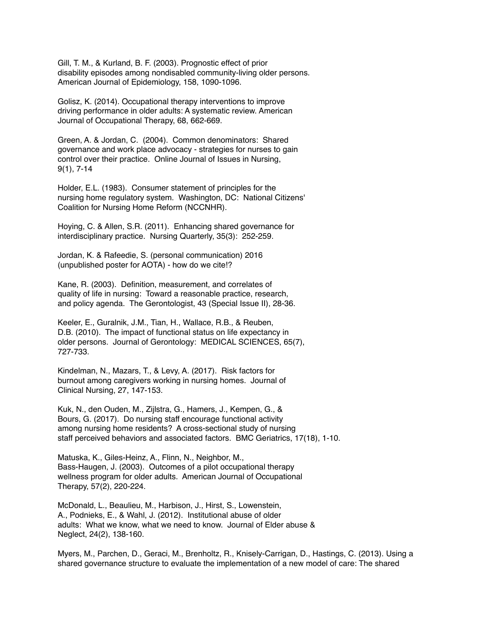Gill, T. M., & Kurland, B. F. (2003). Prognostic effect of prior disability episodes among nondisabled community-living older persons. American Journal of Epidemiology, 158, 1090-1096.

Golisz, K. (2014). Occupational therapy interventions to improve driving performance in older adults: A systematic review. American Journal of Occupational Therapy, 68, 662-669.

Green, A. & Jordan, C. (2004). Common denominators: Shared governance and work place advocacy - strategies for nurses to gain control over their practice. Online Journal of Issues in Nursing, 9(1), 7-14

Holder, E.L. (1983). Consumer statement of principles for the nursing home regulatory system. Washington, DC: National Citizens' Coalition for Nursing Home Reform (NCCNHR).

Hoying, C. & Allen, S.R. (2011). Enhancing shared governance for interdisciplinary practice. Nursing Quarterly, 35(3): 252-259.

Jordan, K. & Rafeedie, S. (personal communication) 2016 (unpublished poster for AOTA) - how do we cite!?

Kane, R. (2003). Definition, measurement, and correlates of quality of life in nursing: Toward a reasonable practice, research, and policy agenda. The Gerontologist, 43 (Special Issue II), 28-36.

Keeler, E., Guralnik, J.M., Tian, H., Wallace, R.B., & Reuben, D.B. (2010). The impact of functional status on life expectancy in older persons. Journal of Gerontology: MEDICAL SCIENCES, 65(7), 727-733.

Kindelman, N., Mazars, T., & Levy, A. (2017). Risk factors for burnout among caregivers working in nursing homes. Journal of Clinical Nursing, 27, 147-153.

Kuk, N., den Ouden, M., Zijlstra, G., Hamers, J., Kempen, G., & Bours, G. (2017). Do nursing staff encourage functional activity among nursing home residents? A cross-sectional study of nursing staff perceived behaviors and associated factors. BMC Geriatrics, 17(18), 1-10.

Matuska, K., Giles-Heinz, A., Flinn, N., Neighbor, M., Bass-Haugen, J. (2003). Outcomes of a pilot occupational therapy wellness program for older adults. American Journal of Occupational Therapy, 57(2), 220-224.

McDonald, L., Beaulieu, M., Harbison, J., Hirst, S., Lowenstein, A., Podnieks, E., & Wahl, J. (2012). Institutional abuse of older adults: What we know, what we need to know. Journal of Elder abuse & Neglect, 24(2), 138-160.

Myers, M., Parchen, D., Geraci, M., Brenholtz, R., Knisely-Carrigan, D., Hastings, C. (2013). Using a shared governance structure to evaluate the implementation of a new model of care: The shared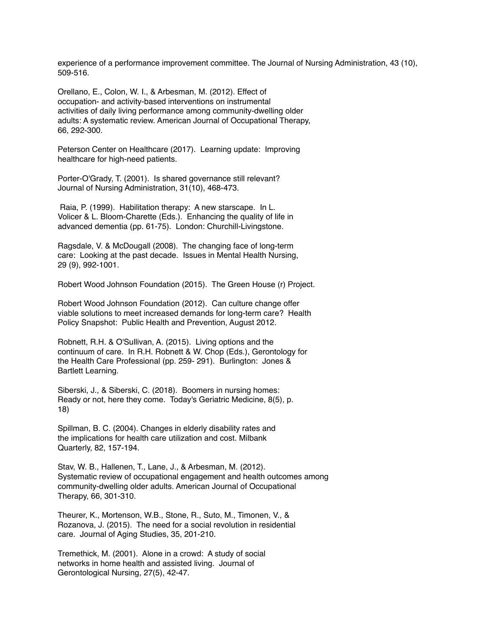experience of a performance improvement committee. The Journal of Nursing Administration, 43 (10), 509-516.

Orellano, E., Colon, W. I., & Arbesman, M. (2012). Effect of occupation- and activity-based interventions on instrumental activities of daily living performance among community-dwelling older adults: A systematic review. American Journal of Occupational Therapy, 66, 292-300.

Peterson Center on Healthcare (2017). Learning update: Improving healthcare for high-need patients.

Porter-O'Grady, T. (2001). Is shared governance still relevant? Journal of Nursing Administration, 31(10), 468-473.

 Raia, P. (1999). Habilitation therapy: A new starscape. In L. Volicer & L. Bloom-Charette (Eds.). Enhancing the quality of life in advanced dementia (pp. 61-75). London: Churchill-Livingstone.

Ragsdale, V. & McDougall (2008). The changing face of long-term care: Looking at the past decade. Issues in Mental Health Nursing, 29 (9), 992-1001.

Robert Wood Johnson Foundation (2015). The Green House (r) Project.

Robert Wood Johnson Foundation (2012). Can culture change offer viable solutions to meet increased demands for long-term care? Health Policy Snapshot: Public Health and Prevention, August 2012.

Robnett, R.H. & O'Sullivan, A. (2015). Living options and the continuum of care. In R.H. Robnett & W. Chop (Eds.), Gerontology for the Health Care Professional (pp. 259- 291). Burlington: Jones & Bartlett Learning.

Siberski, J., & Siberski, C. (2018). Boomers in nursing homes: Ready or not, here they come. Today's Geriatric Medicine, 8(5), p. 18)

Spillman, B. C. (2004). Changes in elderly disability rates and the implications for health care utilization and cost. Milbank Quarterly, 82, 157-194.

Stav, W. B., Hallenen, T., Lane, J., & Arbesman, M. (2012). Systematic review of occupational engagement and health outcomes among community-dwelling older adults. American Journal of Occupational Therapy, 66, 301-310.

Theurer, K., Mortenson, W.B., Stone, R., Suto, M., Timonen, V., & Rozanova, J. (2015). The need for a social revolution in residential care. Journal of Aging Studies, 35, 201-210.

Tremethick, M. (2001). Alone in a crowd: A study of social networks in home health and assisted living. Journal of Gerontological Nursing, 27(5), 42-47.